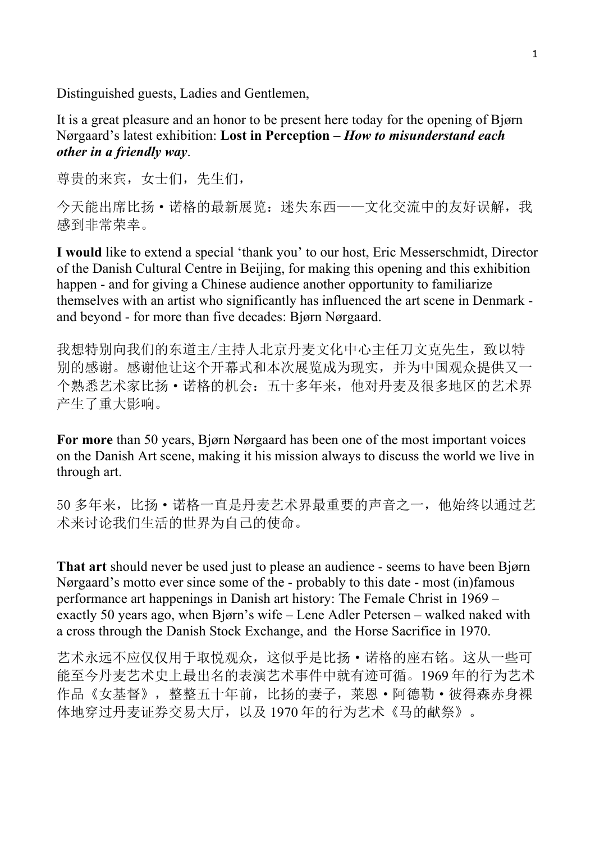Distinguished guests, Ladies and Gentlemen,

It is a great pleasure and an honor to be present here today for the opening of Bjørn Nørgaard's latest exhibition: **Lost in Perception –** *How to misunderstand each other in a friendly way*.

尊贵的来宾,女士们,先生们,

今天能出席比扬·诺格的最新展览: 迷失东西——文化交流中的友好误解, 我 感到非常荣幸。

**I would** like to extend a special 'thank you' to our host, Eric Messerschmidt, Director of the Danish Cultural Centre in Beijing, for making this opening and this exhibition happen - and for giving a Chinese audience another opportunity to familiarize themselves with an artist who significantly has influenced the art scene in Denmark and beyond - for more than five decades: Bjørn Nørgaard.

我想特别向我们的东道主/主持人北京丹麦文化中心主任刀文克先生,致以特 别的感谢。感谢他让这个开幕式和本次展览成为现实,并为中国观众提供又一 个熟悉艺术家比扬·诺格的机会:五十多年来,他对丹麦及很多地区的艺术界 产生了重大影响。

**For more** than 50 years, Bjørn Nørgaard has been one of the most important voices on the Danish Art scene, making it his mission always to discuss the world we live in through art.

50 多年来,比扬·诺格一直是丹麦艺术界最重要的声音之一,他始终以通过艺 术来讨论我们生活的世界为自己的使命。

**That art** should never be used just to please an audience - seems to have been Bjørn Nørgaard's motto ever since some of the - probably to this date - most (in)famous performance art happenings in Danish art history: The Female Christ in 1969 – exactly 50 years ago, when Bjørn's wife – Lene Adler Petersen – walked naked with a cross through the Danish Stock Exchange, and the Horse Sacrifice in 1970.

艺术永远不应仅仅用于取悦观众,这似乎是比扬·诺格的座右铭。这从一些可 能至今丹麦艺术史上最出名的表演艺术事件中就有迹可循。1969 年的行为艺术 作品《女基督》,整整五十年前,比扬的妻子,莱恩·阿德勒·彼得森赤身裸 体地穿过丹麦证券交易大厅,以及 1970 年的行为艺术《马的献祭》。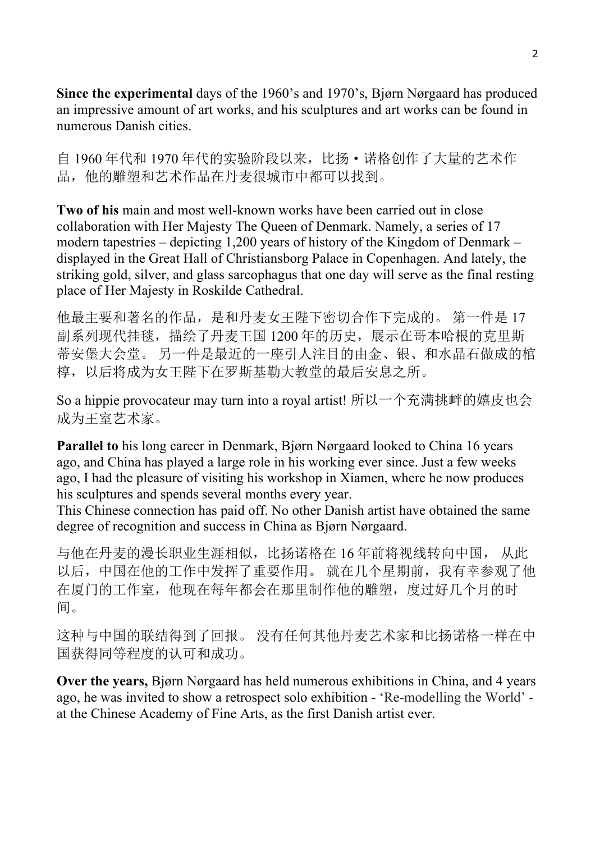**Since the experimental** days of the 1960's and 1970's, Bjørn Nørgaard has produced an impressive amount of art works, and his sculptures and art works can be found in numerous Danish cities.

自 1960 年代和 1970 年代的实验阶段以来,比扬·诺格创作了大量的艺术作 品,他的雕塑和艺术作品在丹麦很城市中都可以找到。

**Two of his** main and most well-known works have been carried out in close collaboration with Her Majesty The Queen of Denmark. Namely, a series of 17 modern tapestries – depicting 1,200 years of history of the Kingdom of Denmark – displayed in the Great Hall of Christiansborg Palace in Copenhagen. And lately, the striking gold, silver, and glass sarcophagus that one day will serve as the final resting place of Her Majesty in Roskilde Cathedral.

他最主要和著名的作品,是和丹麦女王陛下密切合作下完成的。 第一件是 17 副系列现代挂毯, 描绘了丹麦王国 1200 年的历史, 展示在哥本哈根的克里斯 蒂安堡大会堂。 另一件是最近的一座引人注目的由金、银、和水晶石做成的棺 椁,以后将成为女王陛下在罗斯基勒大教堂的最后安息之所。

So a hippie provocateur may turn into a royal artist! 所以一个充满挑衅的嬉皮也会 成为王室艺术家。

**Parallel to** his long career in Denmark, Bjørn Nørgaard looked to China 16 years ago, and China has played a large role in his working ever since. Just a few weeks ago, I had the pleasure of visiting his workshop in Xiamen, where he now produces his sculptures and spends several months every year.

This Chinese connection has paid off. No other Danish artist have obtained the same degree of recognition and success in China as Bjørn Nørgaard.

与他在丹麦的漫长职业生涯相似,比扬诺格在 16 年前将视线转向中国, 从此 以后,中国在他的工作中发挥了重要作用。 就在几个星期前,我有幸参观了他 在厦门的工作室,他现在每年都会在那里制作他的雕塑,度过好几个月的时 间。

这种与中国的联结得到了回报。 没有任何其他丹麦艺术家和比扬诺格一样在中 国获得同等程度的认可和成功。

**Over the years,** Bjørn Nørgaard has held numerous exhibitions in China, and 4 years ago, he was invited to show a retrospect solo exhibition - 'Re-modelling the World' at the Chinese Academy of Fine Arts, as the first Danish artist ever.